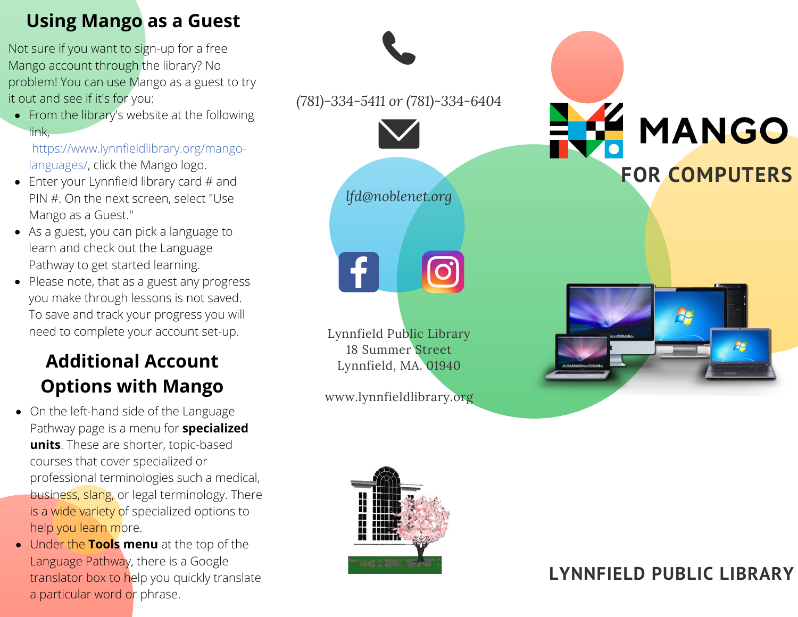### **Using Mango as a Guest**

Not sure if you want to sign-up for a free Mango account through the library? No problem! You can use Mango as a guest to try it out and see if it's for you:

• From the library's website at the following link,

https://www.lynnfieldlibrary.org/mangolanguages/, click the Mango logo.

- $\bullet$  Enter your Lynnfield library card # and PIN #. On the next screen, select "Use Mango as a Guest."
- As a guest, you can pick a language to learn and check out the Language Pathway to get started learning.
- Please note, that as a guest any progress you make through lessons is not saved. To save and track your progress you will need to complete your account set-up.

# **Additional Account Options with Mango**

- On the left-hand side of the Language Pathway page is a menu for **specialized units**. These are shorter, topic-based courses that cover specialized or professional terminologies such a medical, business, slang, or legal terminology. There is a wide variety of specialized options to help you learn more.
- Under the **Tools menu** at the top of the Language Pathway, there is a Google translator box to help you quickly translate a particular word or phrase.

*(781)-334-5411 or (781)-334-6404 lfd@noblenet.org*

> Lynnfield Public Library 18 Summer Street Lynnfield, MA. 01940

www.lynnfieldlibrary.org



MANGO **FOR COMPUTERS**



### **LYNNFIELD PUBLIC LIBRARY**